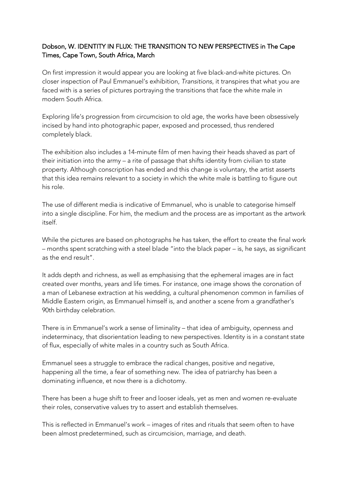## Dobson, W. IDENTITY IN FLUX: THE TRANSITION TO NEW PERSPECTIVES in The Cape Times, Cape Town, South Africa, March

On first impression it would appear you are looking at five black-and-white pictures. On closer inspection of Paul Emmanuel's exhibition, *Transitions*, it transpires that what you are faced with is a series of pictures portraying the transitions that face the white male in modern South Africa.

Exploring life's progression from circumcision to old age, the works have been obsessively incised by hand into photographic paper, exposed and processed, thus rendered completely black.

The exhibition also includes a 14-minute film of men having their heads shaved as part of their initiation into the army – a rite of passage that shifts identity from civilian to state property. Although conscription has ended and this change is voluntary, the artist asserts that this idea remains relevant to a society in which the white male is battling to figure out his role.

The use of different media is indicative of Emmanuel, who is unable to categorise himself into a single discipline. For him, the medium and the process are as important as the artwork itself.

While the pictures are based on photographs he has taken, the effort to create the final work – months spent scratching with a steel blade "into the black paper – is, he says, as significant as the end result".

It adds depth and richness, as well as emphasising that the ephemeral images are in fact created over months, years and life times. For instance, one image shows the coronation of a man of Lebanese extraction at his wedding, a cultural phenomenon common in families of Middle Eastern origin, as Emmanuel himself is, and another a scene from a grandfather's 90th birthday celebration.

There is in Emmanuel's work a sense of liminality – that idea of ambiguity, openness and indeterminacy, that disorientation leading to new perspectives. Identity is in a constant state of flux, especially of white males in a country such as South Africa.

Emmanuel sees a struggle to embrace the radical changes, positive and negative, happening all the time, a fear of something new. The idea of patriarchy has been a dominating influence, et now there is a dichotomy.

There has been a huge shift to freer and looser ideals, yet as men and women re-evaluate their roles, conservative values try to assert and establish themselves.

This is reflected in Emmanuel's work – images of rites and rituals that seem often to have been almost predetermined, such as circumcision, marriage, and death.